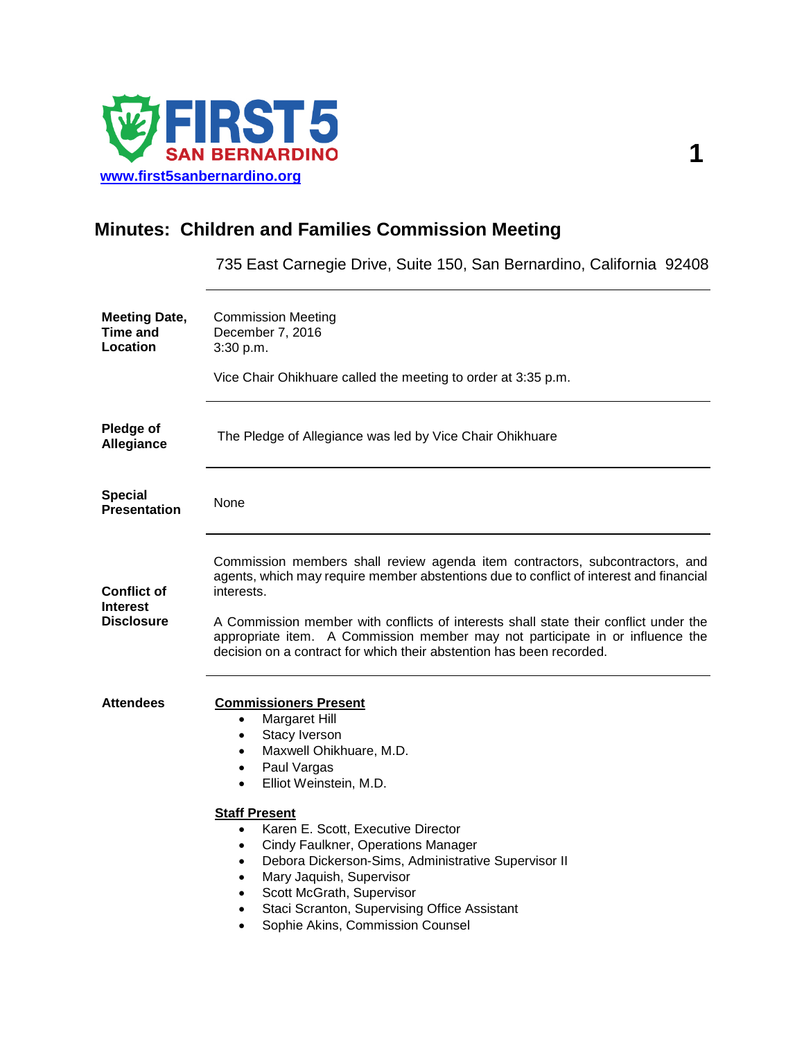

## **Minutes: Children and Families Commission Meeting**

735 East Carnegie Drive, Suite 150, San Bernardino, California 92408

| <b>Meeting Date,</b><br>Time and<br>Location               | <b>Commission Meeting</b><br>December 7, 2016<br>3:30 p.m.                                                                                                                                                                                                                                                                                                                                                                                                                                                                                                                |
|------------------------------------------------------------|---------------------------------------------------------------------------------------------------------------------------------------------------------------------------------------------------------------------------------------------------------------------------------------------------------------------------------------------------------------------------------------------------------------------------------------------------------------------------------------------------------------------------------------------------------------------------|
|                                                            | Vice Chair Ohikhuare called the meeting to order at 3:35 p.m.                                                                                                                                                                                                                                                                                                                                                                                                                                                                                                             |
| Pledge of<br>Allegiance                                    | The Pledge of Allegiance was led by Vice Chair Ohikhuare                                                                                                                                                                                                                                                                                                                                                                                                                                                                                                                  |
| <b>Special</b><br><b>Presentation</b>                      | None                                                                                                                                                                                                                                                                                                                                                                                                                                                                                                                                                                      |
| <b>Conflict of</b><br><b>Interest</b><br><b>Disclosure</b> | Commission members shall review agenda item contractors, subcontractors, and<br>agents, which may require member abstentions due to conflict of interest and financial<br>interests.<br>A Commission member with conflicts of interests shall state their conflict under the<br>appropriate item. A Commission member may not participate in or influence the<br>decision on a contract for which their abstention has been recorded.                                                                                                                                     |
| <b>Attendees</b>                                           | <b>Commissioners Present</b><br>Margaret Hill<br>$\bullet$<br>Stacy Iverson<br>$\bullet$<br>Maxwell Ohikhuare, M.D.<br>٠<br>Paul Vargas<br>$\bullet$<br>Elliot Weinstein, M.D.<br>$\bullet$<br><b>Staff Present</b><br>Karen E. Scott, Executive Director<br>$\bullet$<br>Cindy Faulkner, Operations Manager<br>٠<br>Debora Dickerson-Sims, Administrative Supervisor II<br>$\bullet$<br>Mary Jaquish, Supervisor<br>$\bullet$<br>Scott McGrath, Supervisor<br>$\bullet$<br>Staci Scranton, Supervising Office Assistant<br>$\bullet$<br>Sophie Akins, Commission Counsel |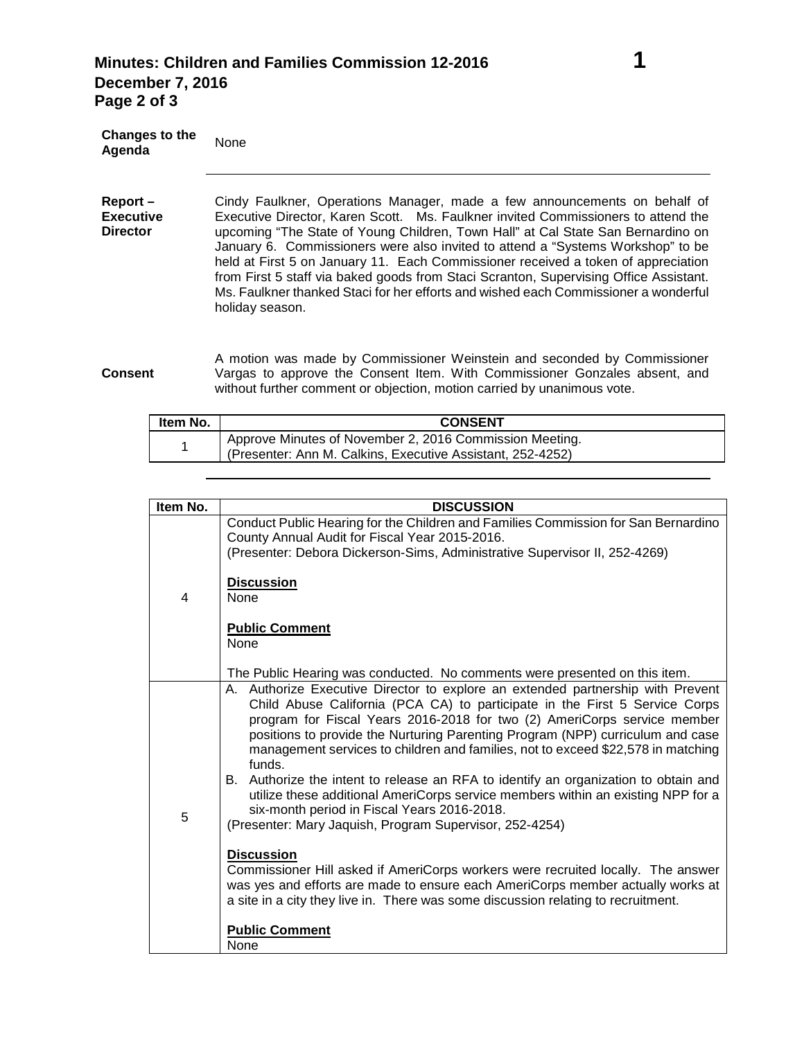**Director**

**Changes to the Agenda** None **Report – Executive**  Cindy Faulkner, Operations Manager, made a few announcements on behalf of

Executive Director, Karen Scott. Ms. Faulkner invited Commissioners to attend the upcoming "The State of Young Children, Town Hall" at Cal State San Bernardino on January 6. Commissioners were also invited to attend a "Systems Workshop" to be held at First 5 on January 11. Each Commissioner received a token of appreciation from First 5 staff via baked goods from Staci Scranton, Supervising Office Assistant. Ms. Faulkner thanked Staci for her efforts and wished each Commissioner a wonderful holiday season.

**Consent** A motion was made by Commissioner Weinstein and seconded by Commissioner Vargas to approve the Consent Item. With Commissioner Gonzales absent, and without further comment or objection, motion carried by unanimous vote.

| Item No. | <b>CONSENT</b>                                                                                                                     |
|----------|------------------------------------------------------------------------------------------------------------------------------------|
|          | <sup>1</sup> Approve Minutes of November 2, 2016 Commission Meeting.<br>(Presenter: Ann M. Calkins, Executive Assistant, 252-4252) |

| Item No. | <b>DISCUSSION</b>                                                                                                                                                                                                                                                                                                                                                                                                                                                                                                                                                                                                                                                                                                                                                                                                                                                                                                                                                                                                                 |
|----------|-----------------------------------------------------------------------------------------------------------------------------------------------------------------------------------------------------------------------------------------------------------------------------------------------------------------------------------------------------------------------------------------------------------------------------------------------------------------------------------------------------------------------------------------------------------------------------------------------------------------------------------------------------------------------------------------------------------------------------------------------------------------------------------------------------------------------------------------------------------------------------------------------------------------------------------------------------------------------------------------------------------------------------------|
| 4        | Conduct Public Hearing for the Children and Families Commission for San Bernardino<br>County Annual Audit for Fiscal Year 2015-2016.<br>(Presenter: Debora Dickerson-Sims, Administrative Supervisor II, 252-4269)                                                                                                                                                                                                                                                                                                                                                                                                                                                                                                                                                                                                                                                                                                                                                                                                                |
|          | <b>Discussion</b><br><b>None</b>                                                                                                                                                                                                                                                                                                                                                                                                                                                                                                                                                                                                                                                                                                                                                                                                                                                                                                                                                                                                  |
|          | <b>Public Comment</b><br>None<br>The Public Hearing was conducted. No comments were presented on this item.                                                                                                                                                                                                                                                                                                                                                                                                                                                                                                                                                                                                                                                                                                                                                                                                                                                                                                                       |
| 5        | A. Authorize Executive Director to explore an extended partnership with Prevent<br>Child Abuse California (PCA CA) to participate in the First 5 Service Corps<br>program for Fiscal Years 2016-2018 for two (2) AmeriCorps service member<br>positions to provide the Nurturing Parenting Program (NPP) curriculum and case<br>management services to children and families, not to exceed \$22,578 in matching<br>funds.<br>B. Authorize the intent to release an RFA to identify an organization to obtain and<br>utilize these additional AmeriCorps service members within an existing NPP for a<br>six-month period in Fiscal Years 2016-2018.<br>(Presenter: Mary Jaquish, Program Supervisor, 252-4254)<br><b>Discussion</b><br>Commissioner Hill asked if AmeriCorps workers were recruited locally. The answer<br>was yes and efforts are made to ensure each AmeriCorps member actually works at<br>a site in a city they live in. There was some discussion relating to recruitment.<br><b>Public Comment</b><br>None |